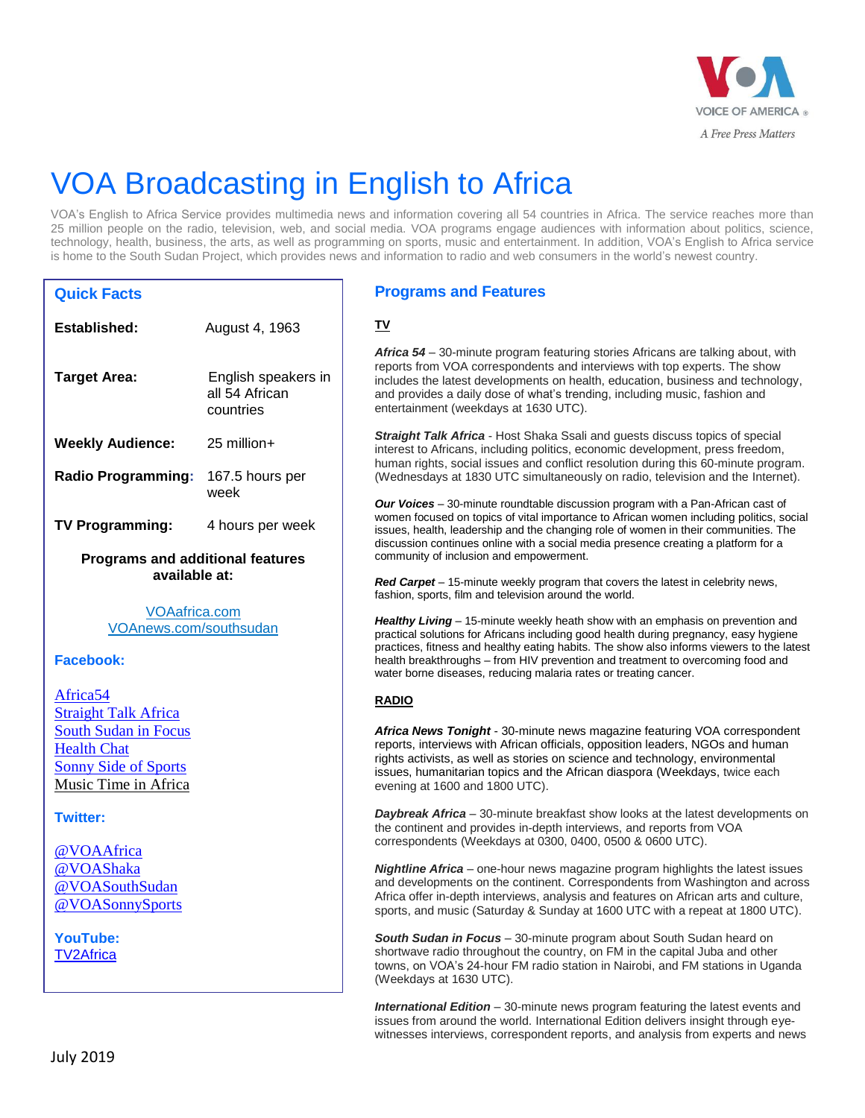

# VOA Broadcasting in English to Africa

VOA's English to Africa Service provides multimedia news and information covering all 54 countries in Africa. The service reaches more than 25 million people on the radio, television, web, and social media. VOA programs engage audiences with information about politics, science, technology, health, business, the arts, as well as programming on sports, music and entertainment. In addition, VOA's English to Africa service is home to the South Sudan Project, which provides news and information to radio and web consumers in the world's newest country.

## **Quick Facts**

| Established:                                                                                                                                                    | August 4, 1963                                     |
|-----------------------------------------------------------------------------------------------------------------------------------------------------------------|----------------------------------------------------|
| <b>Target Area:</b>                                                                                                                                             | English speakers in<br>all 54 African<br>countries |
| <b>Weekly Audience:</b>                                                                                                                                         | 25 million+                                        |
| <b>Radio Programming:</b>                                                                                                                                       | 167.5 hours per<br>week                            |
| <b>TV Programming:</b>                                                                                                                                          | 4 hours per week                                   |
| <b>Programs and additional features</b><br>available at:                                                                                                        |                                                    |
| <b>VOAafrica.com</b><br>VOAnews.com/southsudan                                                                                                                  |                                                    |
| <b>Facebook:</b>                                                                                                                                                |                                                    |
| Africa <sub>54</sub><br><b>Straight Talk Africa</b><br><b>South Sudan in Focus</b><br><b>Health Chat</b><br><b>Sonny Side of Sports</b><br>Music Time in Africa |                                                    |
| <b>Twitter:</b>                                                                                                                                                 |                                                    |
| @VOAAfrica<br>@VOAShaka<br>@VOASouthSudan<br>@VOASonnySports                                                                                                    |                                                    |

**YouTube:** [TV2Africa](https://www.youtube.com/user/TV2Africa)

## **Programs and Features**

**TV**

*Africa 54* – 30-minute program featuring stories Africans are talking about, with reports from VOA correspondents and interviews with top experts. The show includes the latest developments on health, education, business and technology, and provides a daily dose of what's trending, including music, fashion and entertainment (weekdays at 1630 UTC).

*Straight Talk Africa* - Host Shaka Ssali and guests discuss topics of special interest to Africans, including politics, economic development, press freedom, human rights, social issues and conflict resolution during this 60-minute program. (Wednesdays at 1830 UTC simultaneously on radio, television and the Internet).

*Our Voices* – 30-minute roundtable discussion program with a Pan-African cast of women focused on topics of vital importance to African women including politics, social issues, health, leadership and the changing role of women in their communities. The discussion continues online with a social media presence creating a platform for a community of inclusion and empowerment.

*Red Carpet* – 15-minute weekly program that covers the latest in celebrity news, fashion, sports, film and television around the world.

*Healthy Living* – 15-minute weekly heath show with an emphasis on prevention and practical solutions for Africans including good health during pregnancy, easy hygiene practices, fitness and healthy eating habits. The show also informs viewers to the latest health breakthroughs – from HIV prevention and treatment to overcoming food and water borne diseases, reducing malaria rates or treating cancer.

### **RADIO**

*Africa News Tonight* - [30-minute news magazine featuring](https://www.voanews.com/z/1438) VOA correspondent [reports, interviews with African officials, opposition leaders, NGOs and human](https://www.voanews.com/z/1438)  [rights activists, as well as stories on science and technology, environmental](https://www.voanews.com/z/1438)  [issues, humanitarian topics and the African diaspora](https://www.voanews.com/z/1438) (Weekdays, twice each evening at 1600 and 1800 UTC).

*Daybreak Africa* – [30-minute breakfast show looks](https://www.voanews.com/z/1445) at the latest developments on the continent and provides [in-depth interviews, and reports from VOA](https://www.voanews.com/z/1445)  correspondents [\(Weekdays at 0300, 0400, 0500 & 0600 UTC\).](https://www.voanews.com/z/1445) 

*Nightline Africa* – one-hour news magazine program highlights the latest issues and developments on the continent. Correspondents from Washington and across Africa offer in-depth interviews, analysis and features on African arts and culture, sports, and music (Saturday & Sunday at 1600 UTC with a repeat at 1800 UTC).

*South Sudan in Focus* – 30-minute program about South Sudan heard on shortwave radio throughout the country, on FM in the capital Juba and other towns, on VOA's 24-hour FM radio station in Nairobi, and FM stations in Uganda (Weekdays at 1630 UTC).

*International Edition* – 30-minute news program featuring the latest events and issues from around the world. International Edition delivers insight through eyewitnesses interviews, correspondent reports, and analysis from experts and news